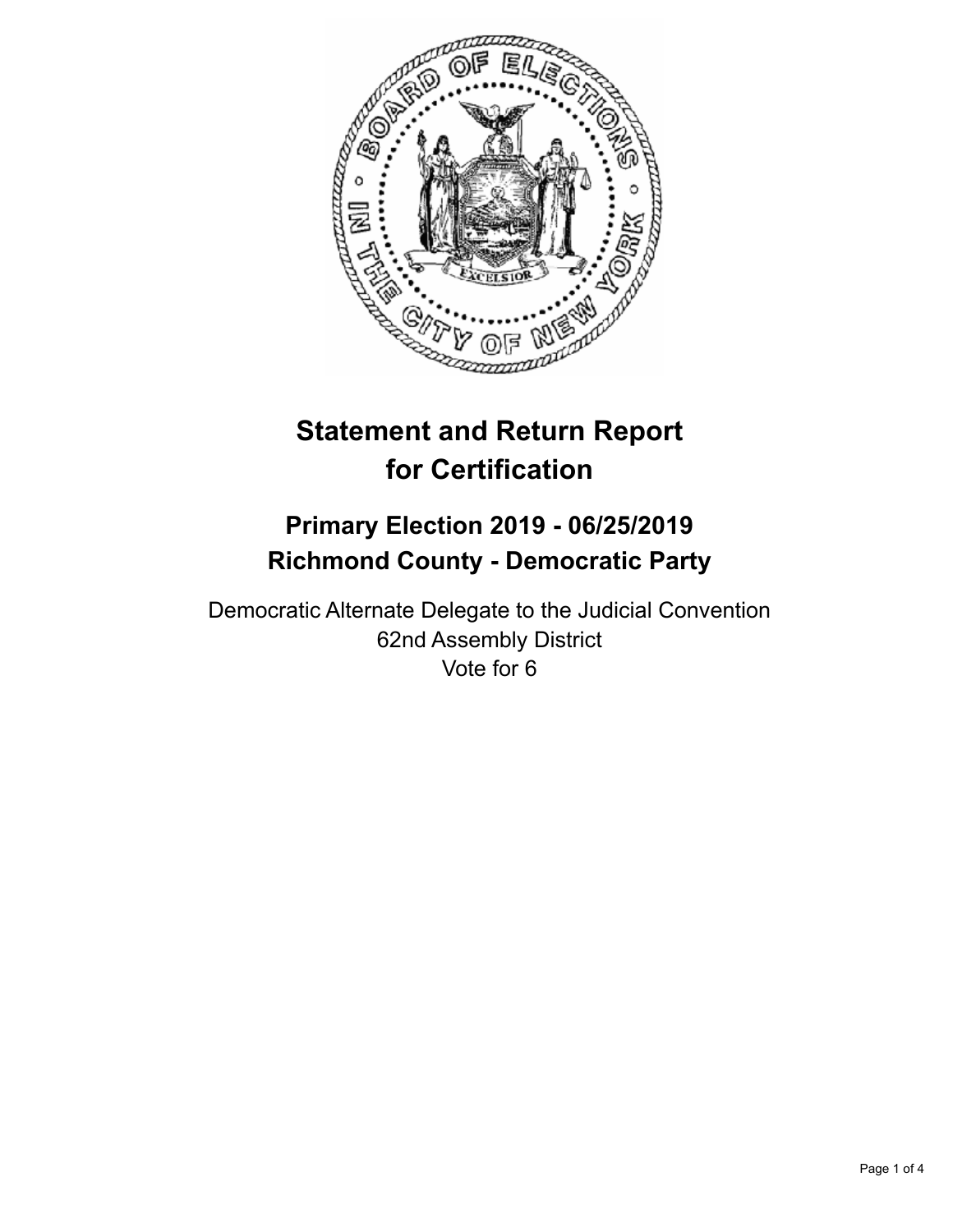

# **Statement and Return Report for Certification**

## **Primary Election 2019 - 06/25/2019 Richmond County - Democratic Party**

Democratic Alternate Delegate to the Judicial Convention 62nd Assembly District Vote for 6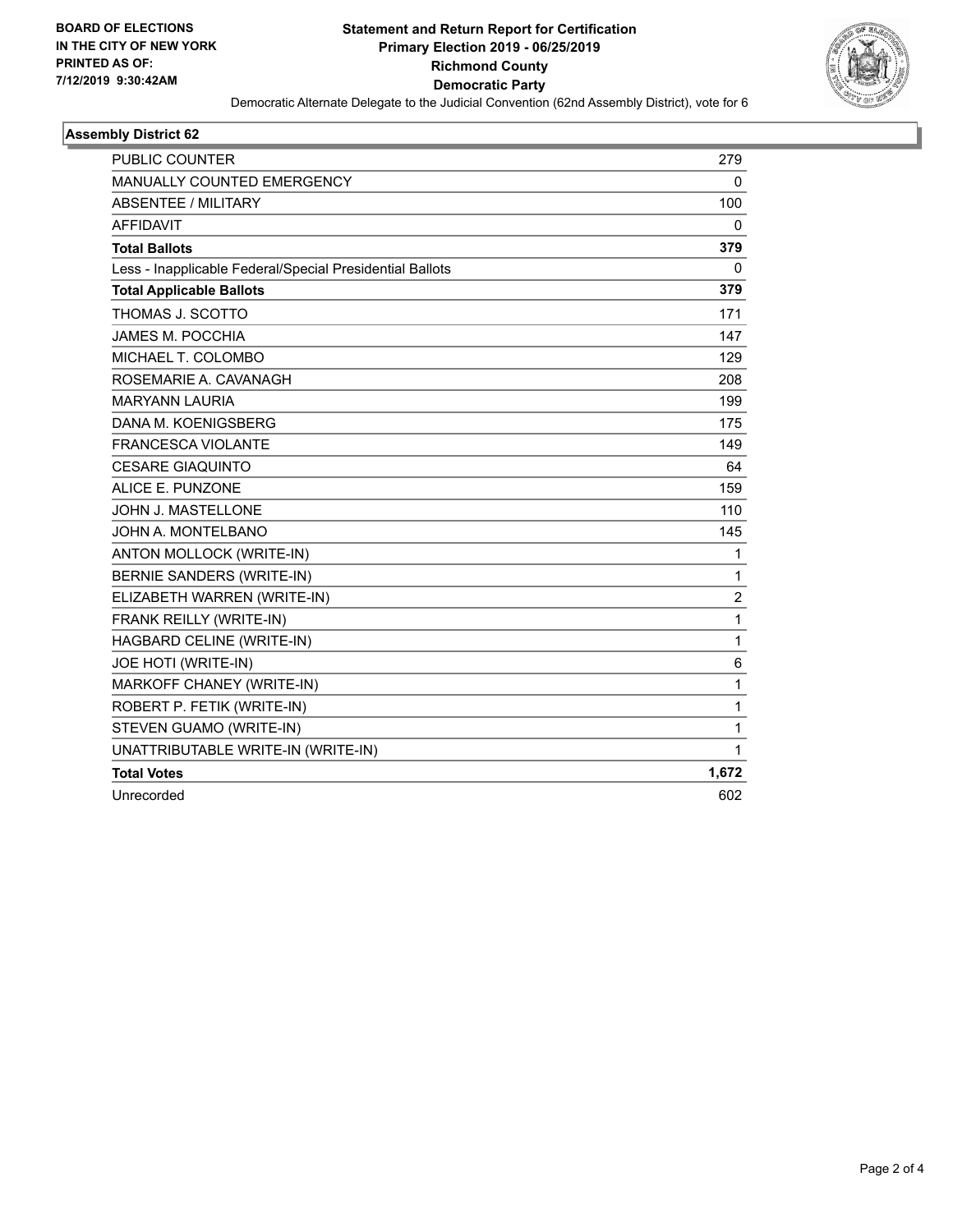

#### **Assembly District 62**

| <b>PUBLIC COUNTER</b>                                    | 279   |
|----------------------------------------------------------|-------|
| <b>MANUALLY COUNTED EMERGENCY</b>                        | 0     |
| ABSENTEE / MILITARY                                      | 100   |
| <b>AFFIDAVIT</b>                                         | 0     |
| <b>Total Ballots</b>                                     | 379   |
| Less - Inapplicable Federal/Special Presidential Ballots | 0     |
| <b>Total Applicable Ballots</b>                          | 379   |
| THOMAS J. SCOTTO                                         | 171   |
| JAMES M. POCCHIA                                         | 147   |
| MICHAEL T. COLOMBO                                       | 129   |
| ROSEMARIE A. CAVANAGH                                    | 208   |
| <b>MARYANN LAURIA</b>                                    | 199   |
| DANA M. KOENIGSBERG                                      | 175   |
| <b>FRANCESCA VIOLANTE</b>                                | 149   |
| <b>CESARE GIAQUINTO</b>                                  | 64    |
| ALICE E. PUNZONE                                         | 159   |
| JOHN J. MASTELLONE                                       | 110   |
| JOHN A. MONTELBANO                                       | 145   |
| ANTON MOLLOCK (WRITE-IN)                                 | 1     |
| BERNIE SANDERS (WRITE-IN)                                | 1     |
| ELIZABETH WARREN (WRITE-IN)                              | 2     |
| FRANK REILLY (WRITE-IN)                                  | 1     |
| HAGBARD CELINE (WRITE-IN)                                | 1     |
| JOE HOTI (WRITE-IN)                                      | 6     |
| MARKOFF CHANEY (WRITE-IN)                                | 1     |
| ROBERT P. FETIK (WRITE-IN)                               | 1     |
| STEVEN GUAMO (WRITE-IN)                                  | 1     |
| UNATTRIBUTABLE WRITE-IN (WRITE-IN)                       | 1     |
| <b>Total Votes</b>                                       | 1,672 |
| Unrecorded                                               | 602   |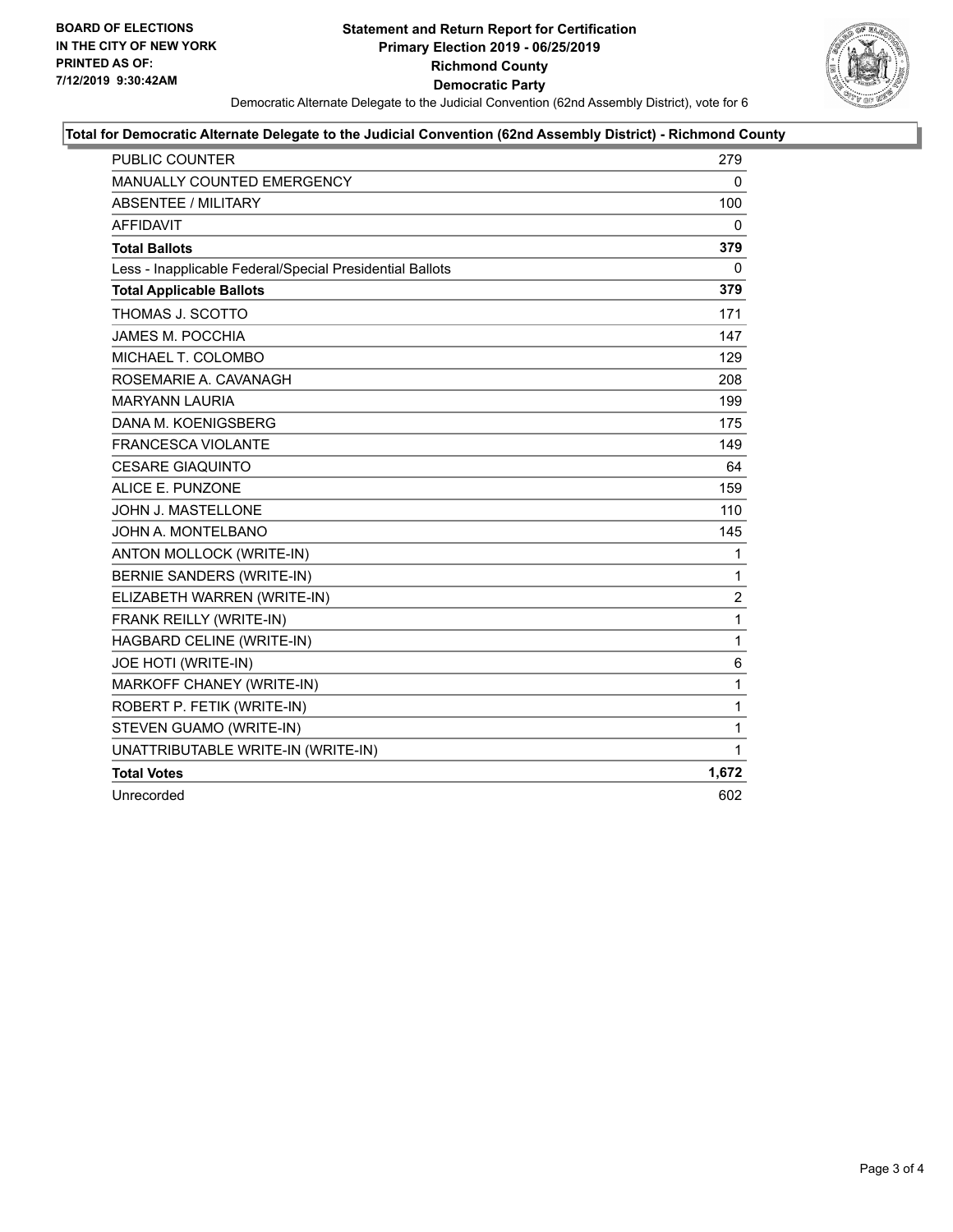

#### **Total for Democratic Alternate Delegate to the Judicial Convention (62nd Assembly District) - Richmond County**

| <b>PUBLIC COUNTER</b>                                    | 279            |
|----------------------------------------------------------|----------------|
| MANUALLY COUNTED EMERGENCY                               | 0              |
| <b>ABSENTEE / MILITARY</b>                               | 100            |
| <b>AFFIDAVIT</b>                                         | 0              |
| <b>Total Ballots</b>                                     | 379            |
| Less - Inapplicable Federal/Special Presidential Ballots | 0              |
| <b>Total Applicable Ballots</b>                          | 379            |
| THOMAS J. SCOTTO                                         | 171            |
| <b>JAMES M. POCCHIA</b>                                  | 147            |
| MICHAEL T. COLOMBO                                       | 129            |
| ROSEMARIE A. CAVANAGH                                    | 208            |
| <b>MARYANN LAURIA</b>                                    | 199            |
| DANA M. KOENIGSBERG                                      | 175            |
| <b>FRANCESCA VIOLANTE</b>                                | 149            |
| <b>CESARE GIAQUINTO</b>                                  | 64             |
| ALICE E. PUNZONE                                         | 159            |
| JOHN J. MASTELLONE                                       | 110            |
| JOHN A. MONTELBANO                                       | 145            |
| ANTON MOLLOCK (WRITE-IN)                                 | 1              |
| <b>BERNIE SANDERS (WRITE-IN)</b>                         | 1              |
| ELIZABETH WARREN (WRITE-IN)                              | $\overline{2}$ |
| FRANK REILLY (WRITE-IN)                                  | 1              |
| HAGBARD CELINE (WRITE-IN)                                | 1              |
| JOE HOTI (WRITE-IN)                                      | 6              |
| MARKOFF CHANEY (WRITE-IN)                                | 1              |
| ROBERT P. FETIK (WRITE-IN)                               | 1              |
| STEVEN GUAMO (WRITE-IN)                                  | 1              |
| UNATTRIBUTABLE WRITE-IN (WRITE-IN)                       | 1              |
| <b>Total Votes</b>                                       | 1,672          |
| Unrecorded                                               | 602            |